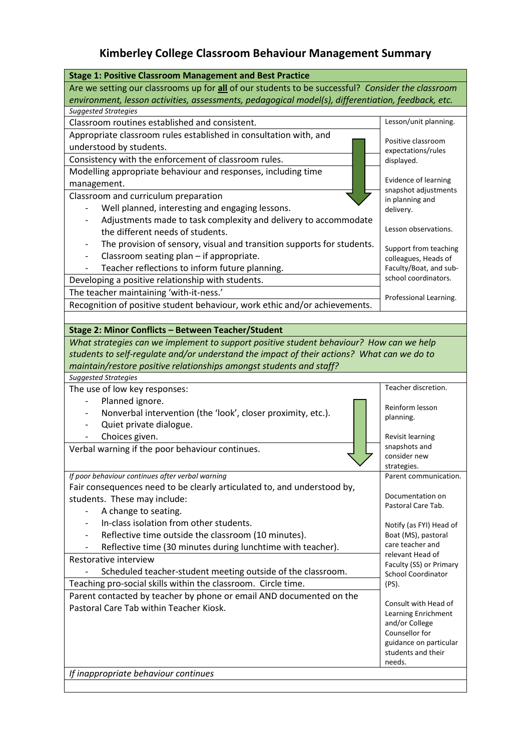## **Kimberley College Classroom Behaviour Management Summary**

| <b>Stage 1: Positive Classroom Management and Best Practice</b>                                    |                                                |  |
|----------------------------------------------------------------------------------------------------|------------------------------------------------|--|
| Are we setting our classrooms up for all of our students to be successful? Consider the classroom  |                                                |  |
| environment, lesson activities, assessments, pedagogical model(s), differentiation, feedback, etc. |                                                |  |
| <b>Suggested Strategies</b>                                                                        |                                                |  |
| Classroom routines established and consistent.                                                     | Lesson/unit planning.                          |  |
| Appropriate classroom rules established in consultation with, and                                  | Positive classroom                             |  |
| understood by students.                                                                            | expectations/rules                             |  |
| Consistency with the enforcement of classroom rules.                                               | displayed.                                     |  |
| Modelling appropriate behaviour and responses, including time                                      |                                                |  |
| management.                                                                                        | <b>Evidence of learning</b>                    |  |
| Classroom and curriculum preparation                                                               | snapshot adjustments<br>in planning and        |  |
| Well planned, interesting and engaging lessons.                                                    | delivery.                                      |  |
| Adjustments made to task complexity and delivery to accommodate                                    |                                                |  |
| the different needs of students.                                                                   | Lesson observations.                           |  |
| The provision of sensory, visual and transition supports for students.                             |                                                |  |
| Classroom seating plan - if appropriate.                                                           | Support from teaching                          |  |
| Teacher reflections to inform future planning.                                                     | colleagues, Heads of<br>Faculty/Boat, and sub- |  |
| Developing a positive relationship with students.                                                  | school coordinators.                           |  |
| The teacher maintaining 'with-it-ness.'                                                            |                                                |  |
| Recognition of positive student behaviour, work ethic and/or achievements.                         | Professional Learning.                         |  |
|                                                                                                    |                                                |  |
|                                                                                                    |                                                |  |
| Stage 2: Minor Conflicts - Between Teacher/Student                                                 |                                                |  |
| What strategies can we implement to support positive student behaviour? How can we help            |                                                |  |
| students to self-regulate and/or understand the impact of their actions? What can we do to         |                                                |  |
| maintain/restore positive relationships amongst students and staff?                                |                                                |  |
| <b>Suggested Strategies</b><br>The use of low key responses:                                       | Teacher discretion.                            |  |
| Planned ignore.                                                                                    |                                                |  |
|                                                                                                    | Reinform lesson                                |  |
| Nonverbal intervention (the 'look', closer proximity, etc.).                                       | planning.                                      |  |
| Quiet private dialogue.                                                                            |                                                |  |
| Choices given.                                                                                     | Revisit learning<br>snapshots and              |  |
| Verbal warning if the poor behaviour continues.                                                    | consider new                                   |  |
|                                                                                                    | strategies.                                    |  |
| If poor behaviour continues after verbal warning                                                   | Parent communication.                          |  |
| Fair consequences need to be clearly articulated to, and understood by,                            | Documentation on                               |  |
| students. These may include:                                                                       | Pastoral Care Tab.                             |  |
| A change to seating.                                                                               |                                                |  |
| In-class isolation from other students.                                                            | Notify (as FYI) Head of                        |  |
| Reflective time outside the classroom (10 minutes).                                                | Boat (MS), pastoral                            |  |
| Reflective time (30 minutes during lunchtime with teacher).                                        | care teacher and<br>relevant Head of           |  |
| Restorative interview                                                                              | Faculty (SS) or Primary                        |  |
| Scheduled teacher-student meeting outside of the classroom.                                        | <b>School Coordinator</b>                      |  |
| Teaching pro-social skills within the classroom. Circle time.                                      | (PS).                                          |  |
| Parent contacted by teacher by phone or email AND documented on the                                |                                                |  |
| Pastoral Care Tab within Teacher Kiosk.                                                            | Consult with Head of<br>Learning Enrichment    |  |
|                                                                                                    | and/or College                                 |  |
|                                                                                                    | Counsellor for                                 |  |
|                                                                                                    | guidance on particular                         |  |
|                                                                                                    | students and their                             |  |
| If inappropriate behaviour continues                                                               | needs.                                         |  |
|                                                                                                    |                                                |  |